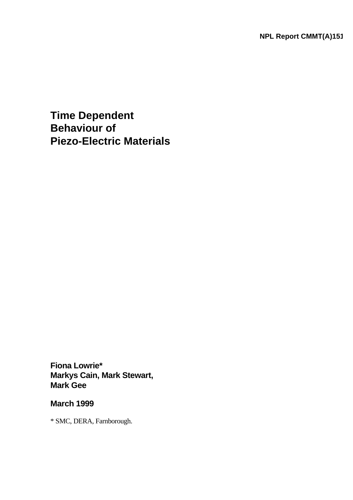**NPL Report CMMT(A)151**

**Time Dependent Behaviour of Piezo-Electric Materials**

**Fiona Lowrie\* Markys Cain, Mark Stewart, Mark Gee**

# **March 1999**

\* SMC, DERA, Farnborough.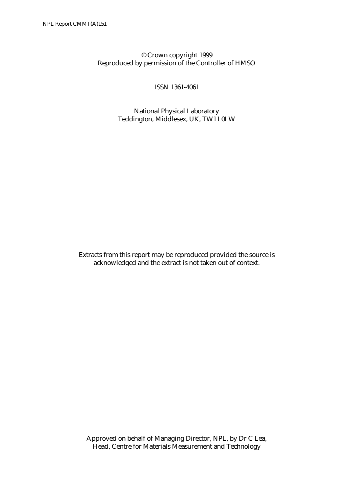## © Crown copyright 1999 Reproduced by permission of the Controller of HMSO

ISSN 1361-4061

National Physical Laboratory Teddington, Middlesex, UK, TW11 0LW

Extracts from this report may be reproduced provided the source is acknowledged and the extract is not taken out of context.

Approved on behalf of Managing Director, NPL, by Dr C Lea, Head, Centre for Materials Measurement and Technology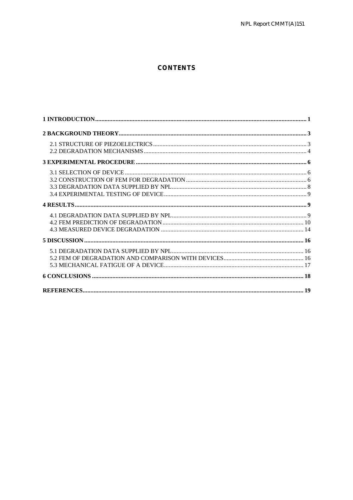#### **CONTENTS**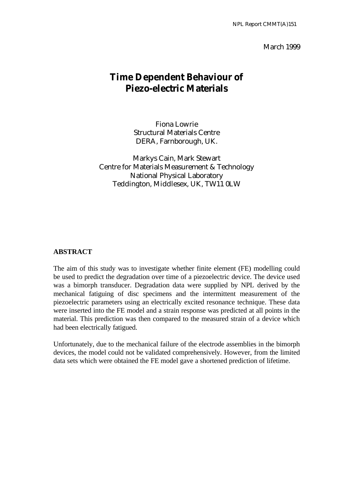#### March 1999

# **Time Dependent Behaviour of Piezo-electric Materials**

Fiona Lowrie Structural Materials Centre DERA, Farnborough, UK.

Markys Cain, Mark Stewart Centre for Materials Measurement & Technology National Physical Laboratory Teddington, Middlesex, UK, TW11 0LW

#### **ABSTRACT**

The aim of this study was to investigate whether finite element (FE) modelling could be used to predict the degradation over time of a piezoelectric device. The device used was a bimorph transducer. Degradation data were supplied by NPL derived by the mechanical fatiguing of disc specimens and the intermittent measurement of the piezoelectric parameters using an electrically excited resonance technique. These data were inserted into the FE model and a strain response was predicted at all points in the material. This prediction was then compared to the measured strain of a device which had been electrically fatigued.

Unfortunately, due to the mechanical failure of the electrode assemblies in the bimorph devices, the model could not be validated comprehensively. However, from the limited data sets which were obtained the FE model gave a shortened prediction of lifetime.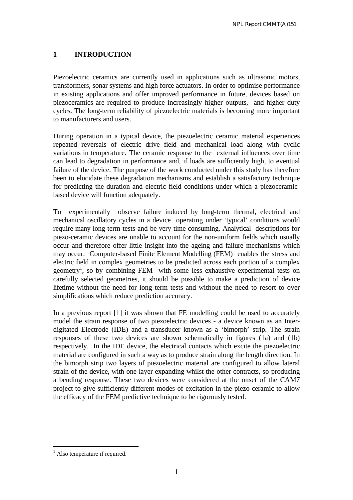## **1 INTRODUCTION**

Piezoelectric ceramics are currently used in applications such as ultrasonic motors, transformers, sonar systems and high force actuators. In order to optimise performance in existing applications and offer improved performance in future, devices based on piezoceramics are required to produce increasingly higher outputs, and higher duty cycles. The long-term reliability of piezoelectric materials is becoming more important to manufacturers and users.

During operation in a typical device, the piezoelectric ceramic material experiences repeated reversals of electric drive field and mechanical load along with cyclic variations in temperature. The ceramic response to the external influences over time can lead to degradation in performance and, if loads are sufficiently high, to eventual failure of the device. The purpose of the work conducted under this study has therefore been to elucidate these degradation mechanisms and establish a satisfactory technique for predicting the duration and electric field conditions under which a piezoceramicbased device will function adequately.

To experimentally observe failure induced by long-term thermal, electrical and mechanical oscillatory cycles in a device operating under 'typical' conditions would require many long term tests and be very time consuming. Analytical descriptions for piezo-ceramic devices are unable to account for the non-uniform fields which usually occur and therefore offer little insight into the ageing and failure mechanisms which may occur. Computer-based Finite Element Modelling (FEM) enables the stress and electric field in complex geometries to be predicted across each portion of a complex geometry<sup>1</sup>, so by combining FEM with some less exhaustive experimental tests on carefully selected geometries, it should be possible to make a prediction of device lifetime without the need for long term tests and without the need to resort to over simplifications which reduce prediction accuracy.

In a previous report [1] it was shown that FE modelling could be used to accurately model the strain response of two piezoelectric devices - a device known as an Interdigitated Electrode (IDE) and a transducer known as a 'bimorph' strip. The strain responses of these two devices are shown schematically in figures (1a) and (1b) respectively. In the IDE device, the electrical contacts which excite the piezoelectric material are configured in such a way as to produce strain along the length direction. In the bimorph strip two layers of piezoelectric material are configured to allow lateral strain of the device, with one layer expanding whilst the other contracts, so producing a bending response. These two devices were considered at the onset of the CAM7 project to give sufficiently different modes of excitation in the piezo-ceramic to allow the efficacy of the FEM predictive technique to be rigorously tested.

 $\overline{a}$ <sup>1</sup> Also temperature if required.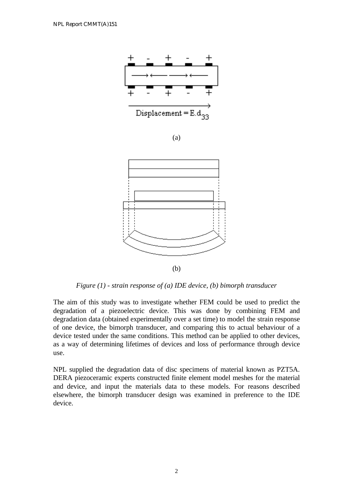

*Figure (1) - strain response of (a) IDE device, (b) bimorph transducer*

The aim of this study was to investigate whether FEM could be used to predict the degradation of a piezoelectric device. This was done by combining FEM and degradation data (obtained experimentally over a set time) to model the strain response of one device, the bimorph transducer, and comparing this to actual behaviour of a device tested under the same conditions. This method can be applied to other devices, as a way of determining lifetimes of devices and loss of performance through device use.

NPL supplied the degradation data of disc specimens of material known as PZT5A. DERA piezoceramic experts constructed finite element model meshes for the material and device, and input the materials data to these models. For reasons described elsewhere, the bimorph transducer design was examined in preference to the IDE device.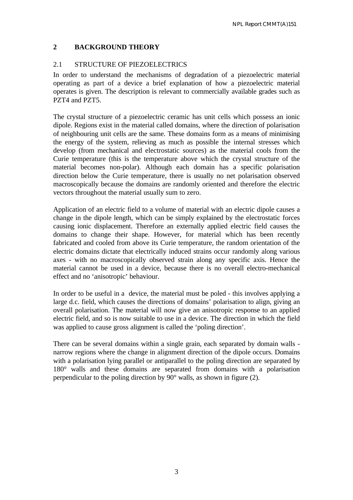## **2 BACKGROUND THEORY**

#### 2.1 STRUCTURE OF PIEZOELECTRICS

In order to understand the mechanisms of degradation of a piezoelectric material operating as part of a device a brief explanation of how a piezoelectric material operates is given. The description is relevant to commercially available grades such as PZT4 and PZT5.

The crystal structure of a piezoelectric ceramic has unit cells which possess an ionic dipole. Regions exist in the material called domains, where the direction of polarisation of neighbouring unit cells are the same. These domains form as a means of minimising the energy of the system, relieving as much as possible the internal stresses which develop (from mechanical and electrostatic sources) as the material cools from the Curie temperature (this is the temperature above which the crystal structure of the material becomes non-polar). Although each domain has a specific polarisation direction below the Curie temperature, there is usually no net polarisation observed macroscopically because the domains are randomly oriented and therefore the electric vectors throughout the material usually sum to zero.

Application of an electric field to a volume of material with an electric dipole causes a change in the dipole length, which can be simply explained by the electrostatic forces causing ionic displacement. Therefore an externally applied electric field causes the domains to change their shape. However, for material which has been recently fabricated and cooled from above its Curie temperature, the random orientation of the electric domains dictate that electrically induced strains occur randomly along various axes - with no macroscopically observed strain along any specific axis. Hence the material cannot be used in a device, because there is no overall electro-mechanical effect and no 'anisotropic' behaviour.

In order to be useful in a device, the material must be poled - this involves applying a large d.c. field, which causes the directions of domains' polarisation to align, giving an overall polarisation. The material will now give an anisotropic response to an applied electric field, and so is now suitable to use in a device. The direction in which the field was applied to cause gross alignment is called the 'poling direction'.

There can be several domains within a single grain, each separated by domain walls narrow regions where the change in alignment direction of the dipole occurs. Domains with a polarisation lying parallel or antiparallel to the poling direction are separated by 180° walls and these domains are separated from domains with a polarisation perpendicular to the poling direction by 90° walls, as shown in figure (2).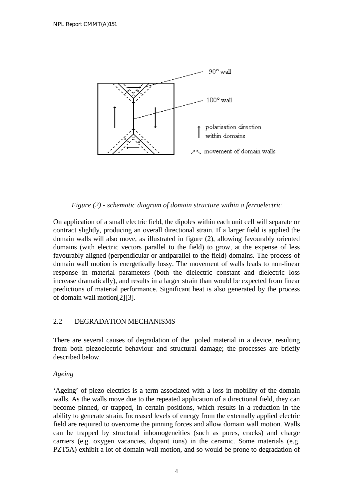

*Figure (2) - schematic diagram of domain structure within a ferroelectric*

On application of a small electric field, the dipoles within each unit cell will separate or contract slightly, producing an overall directional strain. If a larger field is applied the domain walls will also move, as illustrated in figure (2), allowing favourably oriented domains (with electric vectors parallel to the field) to grow, at the expense of less favourably aligned (perpendicular or antiparallel to the field) domains. The process of domain wall motion is energetically lossy. The movement of walls leads to non-linear response in material parameters (both the dielectric constant and dielectric loss increase dramatically), and results in a larger strain than would be expected from linear predictions of material performance. Significant heat is also generated by the process of domain wall motion[2][3].

## 2.2 DEGRADATION MECHANISMS

There are several causes of degradation of the poled material in a device, resulting from both piezoelectric behaviour and structural damage; the processes are briefly described below.

#### *Ageing*

'Ageing' of piezo-electrics is a term associated with a loss in mobility of the domain walls. As the walls move due to the repeated application of a directional field, they can become pinned, or trapped, in certain positions, which results in a reduction in the ability to generate strain. Increased levels of energy from the externally applied electric field are required to overcome the pinning forces and allow domain wall motion. Walls can be trapped by structural inhomogeneities (such as pores, cracks) and charge carriers (e.g. oxygen vacancies, dopant ions) in the ceramic. Some materials (e.g. PZT5A) exhibit a lot of domain wall motion, and so would be prone to degradation of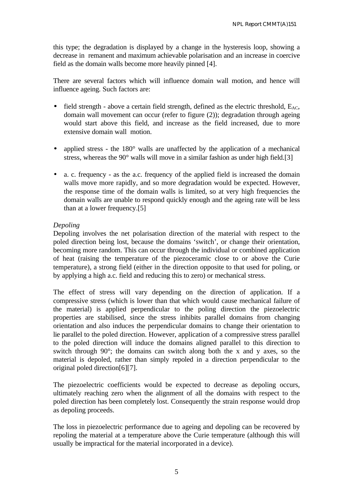this type; the degradation is displayed by a change in the hysteresis loop, showing a decrease in remanent and maximum achievable polarisation and an increase in coercive field as the domain walls become more heavily pinned [4].

There are several factors which will influence domain wall motion, and hence will influence ageing. Such factors are:

- field strength above a certain field strength, defined as the electric threshold,  $E_{AC}$ , domain wall movement can occur (refer to figure (2)); degradation through ageing would start above this field, and increase as the field increased, due to more extensive domain wall motion.
- *·* applied stress the 180° walls are unaffected by the application of a mechanical stress, whereas the 90° walls will move in a similar fashion as under high field.[3]
- a. c. frequency as the a.c. frequency of the applied field is increased the domain walls move more rapidly, and so more degradation would be expected. However, the response time of the domain walls is limited, so at very high frequencies the domain walls are unable to respond quickly enough and the ageing rate will be less than at a lower frequency.[5]

### *Depoling*

Depoling involves the net polarisation direction of the material with respect to the poled direction being lost, because the domains 'switch', or change their orientation, becoming more random. This can occur through the individual or combined application of heat (raising the temperature of the piezoceramic close to or above the Curie temperature), a strong field (either in the direction opposite to that used for poling, or by applying a high a.c. field and reducing this to zero) or mechanical stress.

The effect of stress will vary depending on the direction of application. If a compressive stress (which is lower than that which would cause mechanical failure of the material) is applied perpendicular to the poling direction the piezoelectric properties are stabilised, since the stress inhibits parallel domains from changing orientation and also induces the perpendicular domains to change their orientation to lie parallel to the poled direction. However, application of a compressive stress parallel to the poled direction will induce the domains aligned parallel to this direction to switch through 90°; the domains can switch along both the x and y axes, so the material is depoled, rather than simply repoled in a direction perpendicular to the original poled direction[6][7].

The piezoelectric coefficients would be expected to decrease as depoling occurs, ultimately reaching zero when the alignment of all the domains with respect to the poled direction has been completely lost. Consequently the strain response would drop as depoling proceeds.

The loss in piezoelectric performance due to ageing and depoling can be recovered by repoling the material at a temperature above the Curie temperature (although this will usually be impractical for the material incorporated in a device).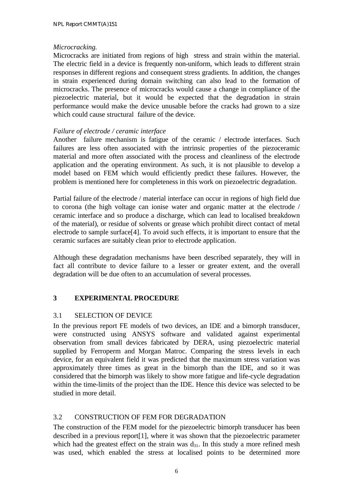#### *Microcracking.*

Microcracks are initiated from regions of high stress and strain within the material. The electric field in a device is frequently non-uniform, which leads to different strain responses in different regions and consequent stress gradients. In addition, the changes in strain experienced during domain switching can also lead to the formation of microcracks. The presence of microcracks would cause a change in compliance of the piezoelectric material, but it would be expected that the degradation in strain performance would make the device unusable before the cracks had grown to a size which could cause structural failure of the device.

## *Failure of electrode / ceramic interface*

Another failure mechanism is fatigue of the ceramic / electrode interfaces. Such failures are less often associated with the intrinsic properties of the piezoceramic material and more often associated with the process and cleanliness of the electrode application and the operating environment. As such, it is not plausible to develop a model based on FEM which would efficiently predict these failures. However, the problem is mentioned here for completeness in this work on piezoelectric degradation.

Partial failure of the electrode / material interface can occur in regions of high field due to corona (the high voltage can ionise water and organic matter at the electrode / ceramic interface and so produce a discharge, which can lead to localised breakdown of the material), or residue of solvents or grease which prohibit direct contact of metal electrode to sample surface[4]. To avoid such effects, it is important to ensure that the ceramic surfaces are suitably clean prior to electrode application.

Although these degradation mechanisms have been described separately, they will in fact all contribute to device failure to a lesser or greater extent, and the overall degradation will be due often to an accumulation of several processes.

# **3 EXPERIMENTAL PROCEDURE**

## 3.1 SELECTION OF DEVICE

In the previous report FE models of two devices, an IDE and a bimorph transducer, were constructed using ANSYS software and validated against experimental observation from small devices fabricated by DERA, using piezoelectric material supplied by Ferroperm and Morgan Matroc. Comparing the stress levels in each device, for an equivalent field it was predicted that the maximum stress variation was approximately three times as great in the bimorph than the IDE, and so it was considered that the bimorph was likely to show more fatigue and life-cycle degradation within the time-limits of the project than the IDE. Hence this device was selected to be studied in more detail.

## 3.2 CONSTRUCTION OF FEM FOR DEGRADATION

The construction of the FEM model for the piezoelectric bimorph transducer has been described in a previous report[1], where it was shown that the piezoelectric parameter which had the greatest effect on the strain was  $d_{31}$ . In this study a more refined mesh was used, which enabled the stress at localised points to be determined more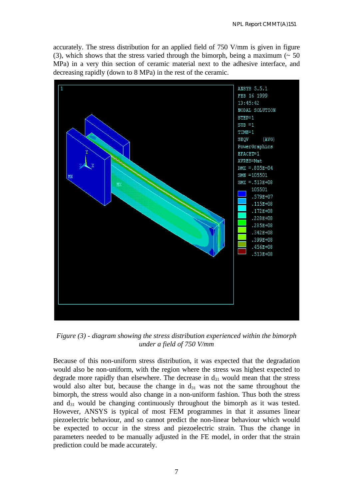accurately. The stress distribution for an applied field of 750 V/mm is given in figure (3), which shows that the stress varied through the bimorph, being a maximum  $($   $\sim$  50 MPa) in a very thin section of ceramic material next to the adhesive interface, and decreasing rapidly (down to 8 MPa) in the rest of the ceramic.



*Figure (3) - diagram showing the stress distribution experienced within the bimorph under a field of 750 V/mm*

Because of this non-uniform stress distribution, it was expected that the degradation would also be non-uniform, with the region where the stress was highest expected to degrade more rapidly than elsewhere. The decrease in  $d_{31}$  would mean that the stress would also alter but, because the change in  $d_{31}$  was not the same throughout the bimorph, the stress would also change in a non-uniform fashion. Thus both the stress and  $d_{31}$  would be changing continuously throughout the bimorph as it was tested. However, ANSYS is typical of most FEM programmes in that it assumes linear piezoelectric behaviour, and so cannot predict the non-linear behaviour which would be expected to occur in the stress and piezoelectric strain. Thus the change in parameters needed to be manually adjusted in the FE model, in order that the strain prediction could be made accurately.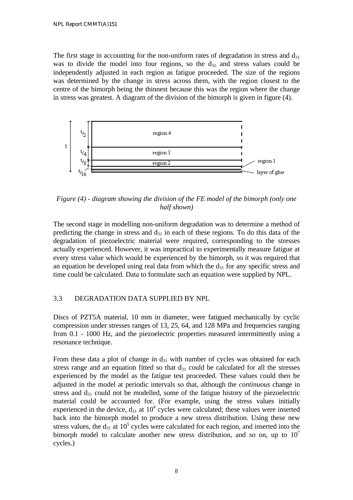The first stage in accounting for the non-uniform rates of degradation in stress and  $d_{31}$ was to divide the model into four regions, so the  $d_{31}$  and stress values could be independently adjusted in each region as fatigue proceeded. The size of the regions was determined by the change in stress across them, with the region closest to the centre of the bimorph being the thinnest because this was the region where the change in stress was greatest. A diagram of the division of the bimorph is given in figure (4).



*Figure (4) - diagram showing the division of the FE model of the bimorph (only one half shown)*

The second stage in modelling non-uniform degradation was to determine a method of predicting the change in stress and  $d_{31}$  in each of these regions. To do this data of the degradation of piezoelectric material were required, corresponding to the stresses actually experienced. However, it was impractical to experimentally measure fatigue at every stress value which would be experienced by the bimorph, so it was required that an equation be developed using real data from which the  $d_{31}$  for any specific stress and time could be calculated. Data to formulate such an equation were supplied by NPL.

## 3.3 DEGRADATION DATA SUPPLIED BY NPL

Discs of PZT5A material, 10 mm in diameter, were fatigued mechanically by cyclic compression under stresses ranges of 13, 25, 64, and 128 MPa and frequencies ranging from 0.1 - 1000 Hz, and the piezoelectric properties measured intermittently using a resonance technique.

From these data a plot of change in  $d_{31}$  with number of cycles was obtained for each stress range and an equation fitted so that  $d_{31}$  could be calculated for all the stresses experienced by the model as the fatigue test proceeded. These values could then be adjusted in the model at periodic intervals so that, although the *continuous* change in stress and  $d_{31}$  could not be modelled, some of the fatigue history of the piezoelectric material could be accounted for. (For example, using the stress values initially experienced in the device,  $d_{31}$  at  $10^4$  cycles were calculated; these values were inserted back into the bimorph model to produce a new stress distribution. Using these new stress values, the  $d_{31}$  at 10<sup>5</sup> cycles were calculated for each region, and inserted into the bimorph model to calculate another new stress distribution, and so on, up to  $10<sup>7</sup>$ cycles.)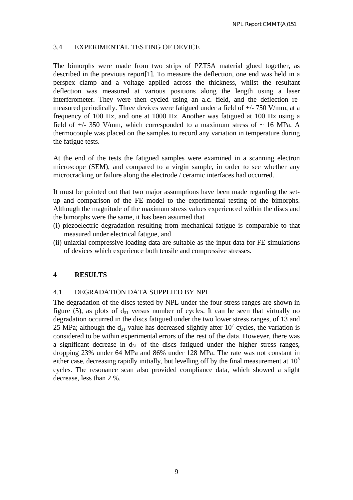## 3.4 EXPERIMENTAL TESTING OF DEVICE

The bimorphs were made from two strips of PZT5A material glued together, as described in the previous report[1]. To measure the deflection, one end was held in a perspex clamp and a voltage applied across the thickness, whilst the resultant deflection was measured at various positions along the length using a laser interferometer. They were then cycled using an a.c. field, and the deflection remeasured periodically. Three devices were fatigued under a field of +/- 750 V/mm, at a frequency of 100 Hz, and one at 1000 Hz. Another was fatigued at 100 Hz using a field of  $+/- 350$  V/mm, which corresponded to a maximum stress of  $\sim 16$  MPa. A thermocouple was placed on the samples to record any variation in temperature during the fatigue tests.

At the end of the tests the fatigued samples were examined in a scanning electron microscope (SEM), and compared to a virgin sample, in order to see whether any microcracking or failure along the electrode / ceramic interfaces had occurred.

It must be pointed out that two major assumptions have been made regarding the setup and comparison of the FE model to the experimental testing of the bimorphs. Although the magnitude of the maximum stress values experienced within the discs and the bimorphs were the same, it has been assumed that

- (i) piezoelectric degradation resulting from mechanical fatigue is comparable to that measured under electrical fatigue, and
- (ii) uniaxial compressive loading data are suitable as the input data for FE simulations of devices which experience both tensile and compressive stresses.

#### **4 RESULTS**

#### 4.1 DEGRADATION DATA SUPPLIED BY NPL

The degradation of the discs tested by NPL under the four stress ranges are shown in figure (5), as plots of  $d_{31}$  versus number of cycles. It can be seen that virtually no degradation occurred in the discs fatigued under the two lower stress ranges, of 13 and 25 MPa; although the  $d_{31}$  value has decreased slightly after 10<sup>7</sup> cycles, the variation is considered to be within experimental errors of the rest of the data. However, there was a significant decrease in  $d_{31}$  of the discs fatigued under the higher stress ranges, dropping 23% under 64 MPa and 86% under 128 MPa. The rate was not constant in either case, decreasing rapidly initially, but levelling off by the final measurement at  $10<sup>5</sup>$ cycles. The resonance scan also provided compliance data, which showed a slight decrease, less than 2 %.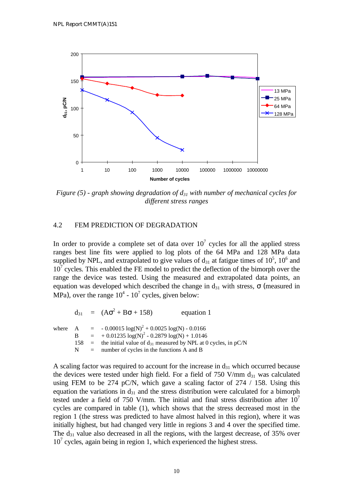

*Figure (5) - graph showing degradation of d31 with number of mechanical cycles for different stress ranges*

#### 4.2 FEM PREDICTION OF DEGRADATION

In order to provide a complete set of data over  $10<sup>7</sup>$  cycles for all the applied stress ranges best line fits were applied to log plots of the 64 MPa and 128 MPa data supplied by NPL, and extrapolated to give values of  $d_{31}$  at fatigue times of  $10^5$ ,  $10^6$  and  $10<sup>7</sup>$  cycles. This enabled the FE model to predict the deflection of the bimorph over the range the device was tested. Using the measured and extrapolated data points, an equation was developed which described the change in  $d_{31}$  with stress,  $\sigma$  (measured in MPa), over the range  $10^4$  -  $10^7$  cycles, given below:

 $d_{31} = (A\sigma^2 + B\sigma + 158)$  equation 1 where A =  $-0.00015 \log(N)^2 + 0.0025 \log(N) - 0.0166$ B  $= +0.01235 \log(N)^2 - 0.2879 \log(N) + 1.0146$ 158 = the initial value of  $d_{31}$  measured by NPL at 0 cycles, in pC/N  $N =$  number of cycles in the functions A and B

A scaling factor was required to account for the increase in  $d_{31}$  which occurred because the devices were tested under high field. For a field of 750 V/mm  $d_{31}$  was calculated using FEM to be 274 pC/N, which gave a scaling factor of 274 / 158. Using this equation the variations in  $d_{31}$  and the stress distribution were calculated for a bimorph tested under a field of 750 V/mm. The initial and final stress distribution after  $10<sup>7</sup>$ cycles are compared in table (1), which shows that the stress decreased most in the region 1 (the stress was predicted to have almost halved in this region), where it was initially highest, but had changed very little in regions 3 and 4 over the specified time. The  $d_{31}$  value also decreased in all the regions, with the largest decrease, of 35% over  $10<sup>7</sup>$  cycles, again being in region 1, which experienced the highest stress.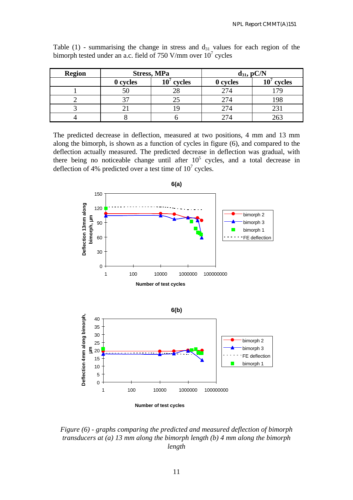| <b>Region</b> | <b>Stress, MPa</b> |                  | $d_{31}$ , pC/N |                  |
|---------------|--------------------|------------------|-----------------|------------------|
|               | 0 cycles           | $10^7$<br>cycles | 0 cycles        | $10^7$<br>cycles |
|               | 50                 |                  | 274             |                  |
|               |                    |                  | 274             |                  |
|               |                    |                  | 274             |                  |
|               |                    |                  | 274             |                  |

Table  $(1)$  - summarising the change in stress and  $d_{31}$  values for each region of the bimorph tested under an a.c. field of 750 V/mm over  $10<sup>7</sup>$  cycles

The predicted decrease in deflection, measured at two positions, 4 mm and 13 mm along the bimorph, is shown as a function of cycles in figure (6), and compared to the deflection actually measured. The predicted decrease in deflection was gradual, with there being no noticeable change until after  $10<sup>5</sup>$  cycles, and a total decrease in deflection of 4% predicted over a test time of  $10<sup>7</sup>$  cycles.



*Figure (6) - graphs comparing the predicted and measured deflection of bimorph transducers at (a) 13 mm along the bimorph length (b) 4 mm along the bimorph length*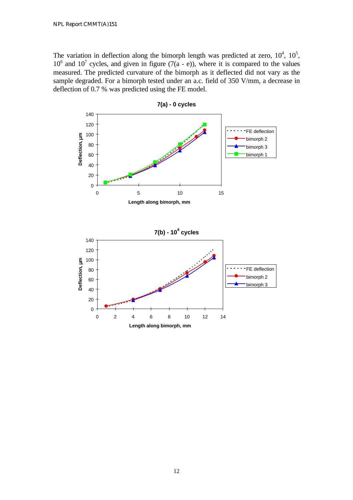The variation in deflection along the bimorph length was predicted at zero,  $10^4$ ,  $10^5$ ,  $10^6$  and  $10^7$  cycles, and given in figure (7(a - e)), where it is compared to the values measured. The predicted curvature of the bimorph as it deflected did not vary as the sample degraded. For a bimorph tested under an a.c. field of 350 V/mm, a decrease in deflection of 0.7 % was predicted using the FE model.



**7(a) - 0 cycles**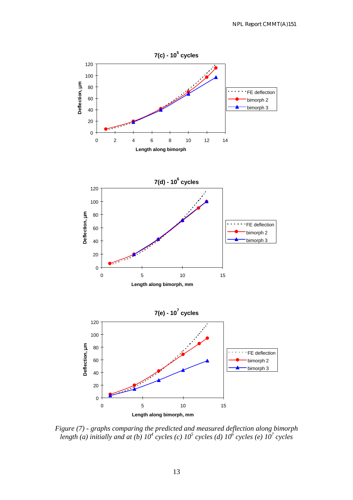

*Figure (7) - graphs comparing the predicted and measured deflection along bimorph length (a) initially and at (b) 10<sup>4</sup> cycles (c) 10<sup>5</sup> cycles (d) 10<sup>6</sup> cycles (e) 10<sup>7</sup> cycles*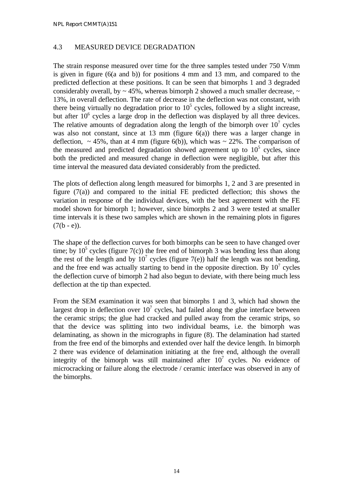### 4.3 MEASURED DEVICE DEGRADATION

The strain response measured over time for the three samples tested under 750 V/mm is given in figure (6(a and b)) for positions 4 mm and 13 mm, and compared to the predicted deflection at these positions. It can be seen that bimorphs 1 and 3 degraded considerably overall, by  $\sim$  45%, whereas bimorph 2 showed a much smaller decrease,  $\sim$ 13%, in overall deflection. The rate of decrease in the deflection was not constant, with there being virtually no degradation prior to  $10<sup>5</sup>$  cycles, followed by a slight increase, but after  $10<sup>6</sup>$  cycles a large drop in the deflection was displayed by all three devices. The relative amounts of degradation along the length of the bimorph over  $10<sup>7</sup>$  cycles was also not constant, since at 13 mm (figure 6(a)) there was a larger change in deflection,  $\sim 45\%$ , than at 4 mm (figure 6(b)), which was  $\sim 22\%$ . The comparison of the measured and predicted degradation showed agreement up to  $10<sup>5</sup>$  cycles, since both the predicted and measured change in deflection were negligible, but after this time interval the measured data deviated considerably from the predicted.

The plots of deflection along length measured for bimorphs 1, 2 and 3 are presented in figure  $(7(a))$  and compared to the initial FE predicted deflection; this shows the variation in response of the individual devices, with the best agreement with the FE model shown for bimorph 1; however, since bimorphs 2 and 3 were tested at smaller time intervals it is these two samples which are shown in the remaining plots in figures  $(7(b - e))$ .

The shape of the deflection curves for both bimorphs can be seen to have changed over time; by  $10^5$  cycles (figure 7(c)) the free end of bimorph 3 was bending less than along the rest of the length and by  $10^7$  cycles (figure 7(e)) half the length was not bending, and the free end was actually starting to bend in the opposite direction. By  $10<sup>7</sup>$  cycles the deflection curve of bimorph 2 had also begun to deviate, with there being much less deflection at the tip than expected.

From the SEM examination it was seen that bimorphs 1 and 3, which had shown the largest drop in deflection over  $10<sup>7</sup>$  cycles, had failed along the glue interface between the ceramic strips; the glue had cracked and pulled away from the ceramic strips, so that the device was splitting into two individual beams, i.e. the bimorph was delaminating, as shown in the micrographs in figure (8). The delamination had started from the free end of the bimorphs and extended over half the device length. In bimorph 2 there was evidence of delamination initiating at the free end, although the overall integrity of the bimorph was still maintained after  $10<sup>7</sup>$  cycles. No evidence of microcracking or failure along the electrode / ceramic interface was observed in any of the bimorphs.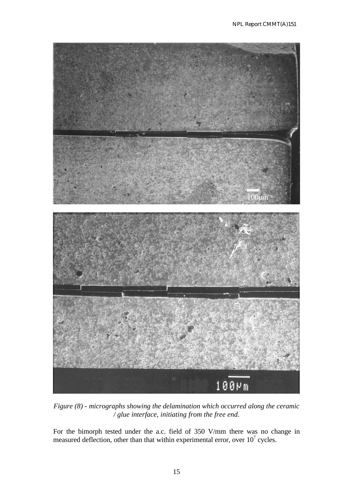

*Figure (8) - micrographs showing the delamination which occurred along the ceramic / glue interface, initiating from the free end.*

For the bimorph tested under the a.c. field of 350 V/mm there was no change in measured deflection, other than that within experimental error, over  $10<sup>7</sup>$  cycles.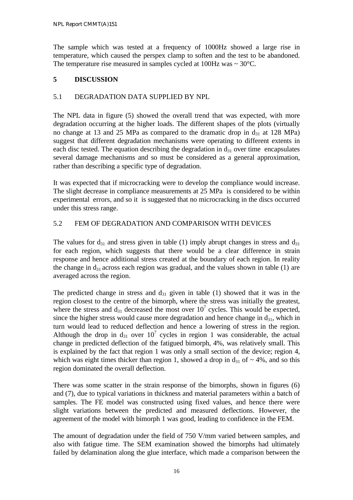The sample which was tested at a frequency of 1000Hz showed a large rise in temperature, which caused the perspex clamp to soften and the test to be abandoned. The temperature rise measured in samples cycled at  $100Hz$  was  $\sim 30^{\circ}$ C.

## **5 DISCUSSION**

## 5.1 DEGRADATION DATA SUPPLIED BY NPL

The NPL data in figure (5) showed the overall trend that was expected, with more degradation occurring at the higher loads. The different shapes of the plots (virtually no change at 13 and 25 MPa as compared to the dramatic drop in  $d_{31}$  at 128 MPa) suggest that different degradation mechanisms were operating to different extents in each disc tested. The equation describing the degradation in  $d_{31}$  over time encapsulates several damage mechanisms and so must be considered as a general approximation, rather than describing a specific type of degradation.

It was expected that if microcracking were to develop the compliance would increase. The slight decrease in compliance measurements at 25 MPa is considered to be within experimental errors, and so it is suggested that no microcracking in the discs occurred under this stress range.

## 5.2 FEM OF DEGRADATION AND COMPARISON WITH DEVICES

The values for  $d_{31}$  and stress given in table (1) imply abrupt changes in stress and  $d_{31}$ for each region, which suggests that there would be a clear difference in strain response and hence additional stress created at the boundary of each region. In reality the change in  $d_{31}$  across each region was gradual, and the values shown in table (1) are averaged across the region.

The predicted change in stress and  $d_{31}$  given in table (1) showed that it was in the region closest to the centre of the bimorph, where the stress was initially the greatest, where the stress and  $d_{31}$  decreased the most over  $10^7$  cycles. This would be expected, since the higher stress would cause more degradation and hence change in  $d_{31}$ , which in turn would lead to reduced deflection and hence a lowering of stress in the region. Although the drop in  $d_{31}$  over  $10^7$  cycles in region 1 was considerable, the actual change in predicted deflection of the fatigued bimorph, 4%, was relatively small. This is explained by the fact that region 1 was only a small section of the device; region 4, which was eight times thicker than region 1, showed a drop in  $d_{31}$  of  $\sim$  4%, and so this region dominated the overall deflection.

There was some scatter in the strain response of the bimorphs, shown in figures (6) and (7), due to typical variations in thickness and material parameters within a batch of samples. The FE model was constructed using fixed values, and hence there were slight variations between the predicted and measured deflections. However, the agreement of the model with bimorph 1 was good, leading to confidence in the FEM.

The amount of degradation under the field of 750 V/mm varied between samples, and also with fatigue time. The SEM examination showed the bimorphs had ultimately failed by delamination along the glue interface, which made a comparison between the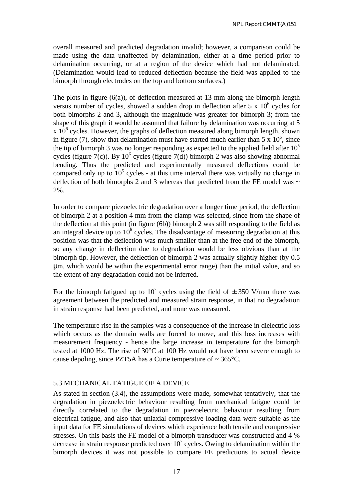overall measured and predicted degradation invalid; however, a comparison could be made using the data unaffected by delamination, either at a time period prior to delamination occurring, or at a region of the device which had not delaminated. (Delamination would lead to reduced deflection because the field was applied to the bimorph through electrodes on the top and bottom surfaces.)

The plots in figure (6(a)), of deflection measured at 13 mm along the bimorph length versus number of cycles, showed a sudden drop in deflection after  $5 \times 10^6$  cycles for both bimorphs 2 and 3, although the magnitude was greater for bimorph 3; from the shape of this graph it would be assumed that failure by delamination was occurring at 5  $x 10<sup>6</sup>$  cycles. However, the graphs of deflection measured along bimorph length, shown in figure (7), show that delamination must have started much earlier than  $5 \times 10^6$ , since the tip of bimorph 3 was no longer responding as expected to the applied field after  $10<sup>5</sup>$ cycles (figure 7(c)). By  $10^6$  cycles (figure 7(d)) bimorph 2 was also showing abnormal bending. Thus the predicted and experimentally measured deflections could be compared only up to  $10<sup>5</sup>$  cycles - at this time interval there was virtually no change in deflection of both bimorphs 2 and 3 whereas that predicted from the FE model was  $\sim$ 2%.

In order to compare piezoelectric degradation over a longer time period, the deflection of bimorph 2 at a position 4 mm from the clamp was selected, since from the shape of the deflection at this point (in figure (6b)) bimorph 2 was still responding to the field as an integral device up to  $10<sup>6</sup>$  cycles. The disadvantage of measuring degradation at this position was that the deflection was much smaller than at the free end of the bimorph, so any change in deflection due to degradation would be less obvious than at the bimorph tip. However, the deflection of bimorph 2 was actually slightly higher (by 0.5 μm, which would be within the experimental error range) than the initial value, and so the extent of any degradation could not be inferred.

For the bimorph fatigued up to 10<sup>7</sup> cycles using the field of  $\pm$  350 V/mm there was agreement between the predicted and measured strain response, in that no degradation in strain response had been predicted, and none was measured.

The temperature rise in the samples was a consequence of the increase in dielectric loss which occurs as the domain walls are forced to move, and this loss increases with measurement frequency - hence the large increase in temperature for the bimorph tested at 1000 Hz. The rise of 30°C at 100 Hz would not have been severe enough to cause depoling, since PZT5A has a Curie temperature of  $\sim$  365 $^{\circ}$ C.

#### 5.3 MECHANICAL FATIGUE OF A DEVICE

As stated in section (3.4), the assumptions were made, somewhat tentatively, that the degradation in piezoelectric behaviour resulting from mechanical fatigue could be directly correlated to the degradation in piezoelectric behaviour resulting from electrical fatigue, and also that uniaxial compressive loading data were suitable as the input data for FE simulations of devices which experience both tensile and compressive stresses. On this basis the FE model of a bimorph transducer was constructed and 4 % decrease in strain response predicted over  $10<sup>7</sup>$  cycles. Owing to delamination within the bimorph devices it was not possible to compare FE predictions to actual device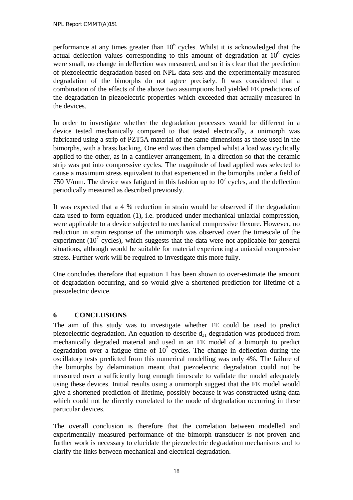performance at any times greater than  $10<sup>6</sup>$  cycles. Whilst it is acknowledged that the actual deflection values corresponding to this amount of degradation at  $10^6$  cycles were small, no change in deflection was measured, and so it is clear that the prediction of piezoelectric degradation based on NPL data sets and the experimentally measured degradation of the bimorphs do not agree precisely. It was considered that a combination of the effects of the above two assumptions had yielded FE predictions of the degradation in piezoelectric properties which exceeded that actually measured in the devices.

In order to investigate whether the degradation processes would be different in a device tested mechanically compared to that tested electrically, a unimorph was fabricated using a strip of PZT5A material of the same dimensions as those used in the bimorphs, with a brass backing. One end was then clamped whilst a load was cyclically applied to the other, as in a cantilever arrangement, in a direction so that the ceramic strip was put into compressive cycles. The magnitude of load applied was selected to cause a maximum stress equivalent to that experienced in the bimorphs under a field of 750 V/mm. The device was fatigued in this fashion up to  $10<sup>7</sup>$  cycles, and the deflection periodically measured as described previously.

It was expected that a 4 % reduction in strain would be observed if the degradation data used to form equation (1), i.e. produced under mechanical uniaxial compression, were applicable to a device subjected to mechanical compressive flexure. However, no reduction in strain response of the unimorph was observed over the timescale of the experiment ( $10<sup>7</sup>$  cycles), which suggests that the data were not applicable for general situations, although would be suitable for material experiencing a uniaxial compressive stress. Further work will be required to investigate this more fully.

One concludes therefore that equation 1 has been shown to over-estimate the amount of degradation occurring, and so would give a shortened prediction for lifetime of a piezoelectric device.

## **6 CONCLUSIONS**

The aim of this study was to investigate whether FE could be used to predict piezoelectric degradation. An equation to describe  $d_{31}$  degradation was produced from mechanically degraded material and used in an FE model of a bimorph to predict degradation over a fatigue time of  $10^7$  cycles. The change in deflection during the oscillatory tests predicted from this numerical modelling was only 4%. The failure of the bimorphs by delamination meant that piezoelectric degradation could not be measured over a sufficiently long enough timescale to validate the model adequately using these devices. Initial results using a unimorph suggest that the FE model would give a shortened prediction of lifetime, possibly because it was constructed using data which could not be directly correlated to the mode of degradation occurring in these particular devices.

The overall conclusion is therefore that the correlation between modelled and experimentally measured performance of the bimorph transducer is not proven and further work is necessary to elucidate the piezoelectric degradation mechanisms and to clarify the links between mechanical and electrical degradation.